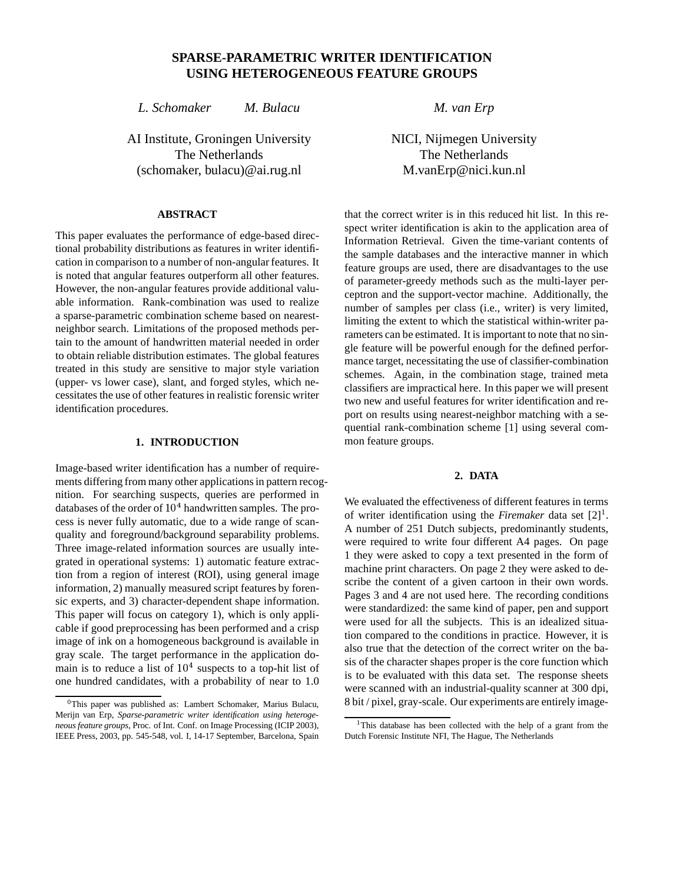# **SPARSE-PARAMETRIC WRITER IDENTIFICATION USING HETEROGENEOUS FEATURE GROUPS**

*L. Schomaker M. Bulacu*

AI Institute, Groningen University The Netherlands (schomaker, bulacu)@ai.rug.nl

## **ABSTRACT**

This paper evaluates the performance of edge-based directional probability distributions as features in writer identification in comparison to a number of non-angular features. It is noted that angular features outperform all other features. However, the non-angular features provide additional valuable information. Rank-combination was used to realize a sparse-parametric combination scheme based on nearestneighbor search. Limitations of the proposed methods pertain to the amount of handwritten material needed in order to obtain reliable distribution estimates. The global features treated in this study are sensitive to major style variation (upper- vs lower case), slant, and forged styles, which necessitates the use of other features in realistic forensic writer identification procedures.

# **1. INTRODUCTION**

Image-based writer identification has a number of requirements differing from many other applications in pattern recognition. For searching suspects, queries are performed in databases of the order of  $10<sup>4</sup>$  handwritten samples. The process is never fully automatic, due to a wide range of scanquality and foreground/background separability problems. Three image-related information sources are usually integrated in operational systems: 1) automatic feature extraction from a region of interest (ROI), using general image information, 2) manually measured script features by forensic experts, and 3) character-dependent shape information. This paper will focus on category 1), which is only applicable if good preprocessing has been performed and a crisp image of ink on a homogeneous background is available in gray scale. The target performance in the application domain is to reduce a list of  $10<sup>4</sup>$  suspects to a top-hit list of one hundred candidates, with a probability of near to 1.0

*M. van Erp*

NICI, Nijmegen University The Netherlands M.vanErp@nici.kun.nl

that the correct writer is in this reduced hit list. In this respect writer identification is akin to the application area of Information Retrieval. Given the time-variant contents of the sample databases and the interactive manner in which feature groups are used, there are disadvantages to the use of parameter-greedy methods such as the multi-layer perceptron and the support-vector machine. Additionally, the number of samples per class (i.e., writer) is very limited, limiting the extent to which the statistical within-writer parameters can be estimated. It is important to note that no single feature will be powerful enough for the defined performance target, necessitating the use of classifier-combination schemes. Again, in the combination stage, trained meta classifiers are impractical here. In this paper we will present two new and useful features for writer identification and report on results using nearest-neighbor matching with a sequential rank-combination scheme [1] using several common feature groups.

## **2. DATA**

We evaluated the effectiveness of different features in terms of writer identification using the *Firemaker* data set  $[2]$ <sup>1</sup>. A number of 251 Dutch subjects, predominantly students, were required to write four different A4 pages. On page 1 they were asked to copy a text presented in the form of machine print characters. On page 2 they were asked to describe the content of a given cartoon in their own words. Pages 3 and 4 are not used here. The recording conditions were standardized: the same kind of paper, pen and support were used for all the subjects. This is an idealized situation compared to the conditions in practice. However, it is also true that the detection of the correct writer on the basis of the character shapes proper is the core function which is to be evaluated with this data set. The response sheets were scanned with an industrial-quality scanner at 300 dpi, 8 bit / pixel, gray-scale. Our experiments are entirely image-

 $0$ This paper was published as: Lambert Schomaker, Marius Bulacu, Merijn van Erp, *Sparse-parametric writer identification using heterogeneous feature groups*, Proc. of Int. Conf. on Image Processing (ICIP 2003), IEEE Press, 2003, pp. 545-548, vol. I, 14-17 September, Barcelona, Spain

<sup>&</sup>lt;sup>1</sup>This database has been collected with the help of a grant from the Dutch Forensic Institute NFI, The Hague, The Netherlands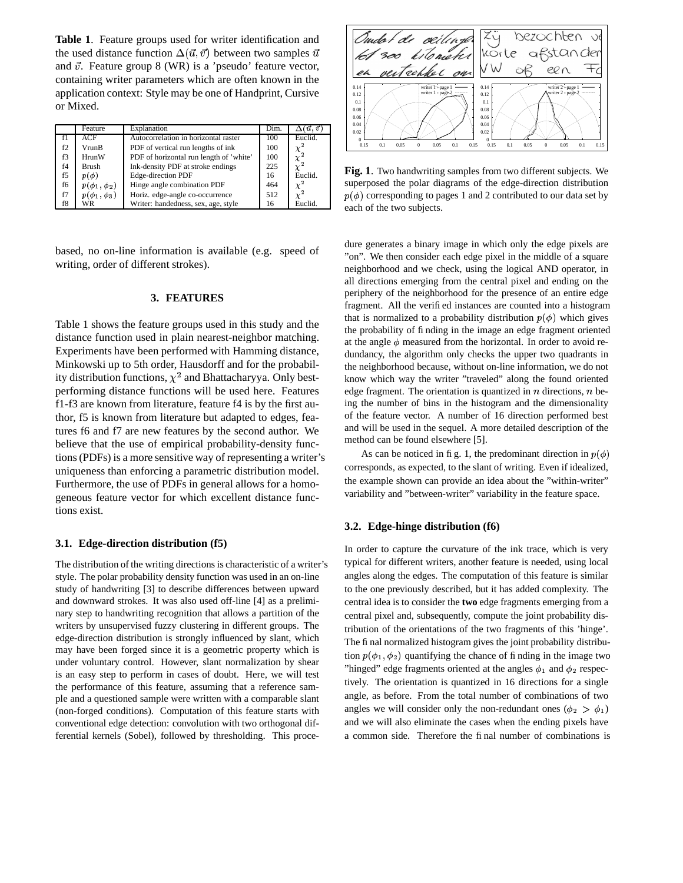**Table 1**. Feature groups used for writer identification and the used distance function  $\Delta(\vec{u}, \vec{v})$  between two samples  $\vec{u}$  |  $\sim$ and  $\vec{v}$ . Feature group 8 (WR) is a 'pseudo' feature vector, containing writer parameters which are often known in the application context: Style may be one of Handprint, Cursive or Mixed.

|    | Feature             | Explanation                             | Dim. | $\vec{u}, \vec{v}$ |    |
|----|---------------------|-----------------------------------------|------|--------------------|----|
|    | ACF                 | Autocorrelation in horizontal raster    | 100  | Euclid.            |    |
| f2 | VrunB               | PDF of vertical run lengths of ink      | 100  | $\chi^2$           |    |
| f3 | HrunW               | PDF of horizontal run length of 'white' | 100  | $\chi^2$           |    |
| f4 | <b>Brush</b>        | Ink-density PDF at stroke endings       | 225  |                    | Fi |
| f5 | $p(\phi)$           | Edge-direction PDF                      | 16   | Euclid.            |    |
| f6 | $p(\phi_1, \phi_2)$ | Hinge angle combination PDF             | 464  | $\chi^2$           | su |
| f7 | $p(\phi_1, \phi_3)$ | Horiz. edge-angle co-occurrence         | 512  |                    | p( |
| f8 | WR                  | Writer: handedness, sex, age, style     | 16   | Euclid.            | ea |

based, no on-line information is available (e.g. speed of writing, order of different strokes).

#### **3. FEATURES**

Table 1 shows the feature groups used in this study and the distance function used in plain nearest-neighbor matching. Experiments have been performed with Hamming distance, Minkowski up to 5th order, Hausdorff and for the probability distribution functions,  $\chi^2$  and Bhattacharyya. Only bestperforming distance functions will be used here. Features f1-f3 are known from literature, feature f4 is by the first author, f5 is known from literature but adapted to edges, features f6 and f7 are new features by the second author. We believe that the use of empirical probability-density functions(PDFs) is a more sensitive way of representing a writer's uniqueness than enforcing a parametric distribution model. Furthermore, the use of PDFs in general allows for a homogeneous feature vector for which excellent distance functions exist.

#### **3.1. Edge-direction distribution (f5)**

The distribution of the writing directions is characteristic of a writer's style. The polar probability density function was used in an on-line study of handwriting [3] to describe differences between upward and downward strokes. It was also used off-line [4] as a preliminary step to handwriting recognition that allows a partition of the writers by unsupervised fuzzy clustering in different groups. The edge-direction distribution is strongly influenced by slant, which may have been forged since it is a geometric property which is under voluntary control. However, slant normalization by shear is an easy step to perform in cases of doubt. Here, we will test the performance of this feature, assuming that a reference sample and a questioned sample were written with a comparable slant (non-forged conditions). Computation of this feature starts with conventional edge detection: convolution with two orthogonal differential kernels (Sobel), followed by thresholding. This proce-



**Fig. 1**. Two handwriting samples from two different subjects. We superposed the polar diagrams of the edge-direction distribution  $p(\phi)$  corresponding to pages 1 and 2 contributed to our data set by each of the two subjects.

dure generates a binary image in which only the edge pixels are "on". We then consider each edge pixel in the middle of a square neighborhood and we check, using the logical AND operator, in all directions emerging from the central pixel and ending on the periphery of the neighborhood for the presence of an entire edge fragment. All the verified instances are counted into a histogram that is normalized to a probability distribution  $p(\phi)$  which gives the probability of finding in the image an edge fragment oriented at the angle  $\phi$  measured from the horizontal. In order to avoid redundancy, the algorithm only checks the upper two quadrants in the neighborhood because, without on-line information, we do not know which way the writer "traveled" along the found oriented edge fragment. The orientation is quantized in  $n$  directions,  $n$  being the number of bins in the histogram and the dimensionality of the feature vector. A number of 16 direction performed best and will be used in the sequel. A more detailed description of the method can be found elsewhere [5].

As can be noticed in fig. 1, the predominant direction in  $p(\phi)$ corresponds, as expected, to the slant of writing. Even if idealized, the example shown can provide an idea about the "within-writer" variability and "between-writer" variability in the feature space.

### **3.2. Edge-hinge distribution (f6)**

In order to capture the curvature of the ink trace, which is very typical for different writers, another feature is needed, using local angles along the edges. The computation of this feature is similar to the one previously described, but it has added complexity. The central idea is to consider the **two** edge fragments emerging from a central pixel and, subsequently, compute the joint probability distribution of the orientations of the two fragments of this 'hinge'. The final normalized histogram gives the joint probability distribution  $p(\phi_1, \phi_2)$  quantifying the chance of finding in the image two "hinged" edge fragments oriented at the angles  $\phi_1$  and  $\phi_2$  respectively. The orientation is quantized in 16 directions for a single angle, as before. From the total number of combinations of two angles we will consider only the non-redundant ones  $(\phi_2 > \phi_1)$ and we will also eliminate the cases when the ending pixels have a common side. Therefore the final number of combinations is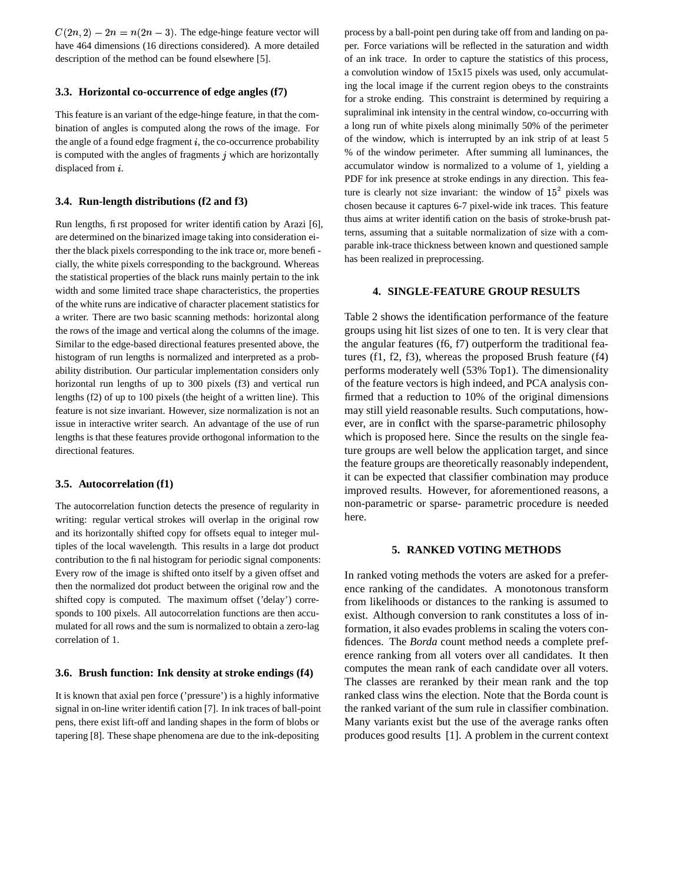$C(2n, 2) - 2n = n(2n - 3)$ . The edge-hinge feature vector will have 464 dimensions (16 directions considered). A more detailed description of the method can be found elsewhere [5].

### **3.3. Horizontal co-occurrence of edge angles (f7)**

This feature is an variant of the edge-hinge feature, in that the combination of angles is computed along the rows of the image. For the angle of a found edge fragment  $i$ , the co-occurrence probability is computed with the angles of fragments  $j$  which are horizontally displaced from  $i$ .

### **3.4. Run-length distributions (f2 and f3)**

Run lengths, first proposed for writer identification by Arazi [6], are determined on the binarized image taking into consideration either the black pixels corresponding to the ink trace or, more beneficially, the white pixels corresponding to the background. Whereas the statistical properties of the black runs mainly pertain to the ink width and some limited trace shape characteristics, the properties of the white runs are indicative of character placement statistics for a writer. There are two basic scanning methods: horizontal along the rows of the image and vertical along the columns of the image. Similar to the edge-based directional features presented above, the histogram of run lengths is normalized and interpreted as a probability distribution. Our particular implementation considers only horizontal run lengths of up to 300 pixels (f3) and vertical run lengths (f2) of up to 100 pixels (the height of a written line). This feature is not size invariant. However, size normalization is not an issue in interactive writer search. An advantage of the use of run lengths is that these features provide orthogonal information to the directional features.

#### **3.5. Autocorrelation (f1)**

The autocorrelation function detects the presence of regularity in writing: regular vertical strokes will overlap in the original row and its horizontally shifted copy for offsets equal to integer multiples of the local wavelength. This results in a large dot product contribution to the final histogram for periodic signal components: Every row of the image is shifted onto itself by a given offset and then the normalized dot product between the original row and the shifted copy is computed. The maximum offset ('delay') corresponds to 100 pixels. All autocorrelation functions are then accumulated for all rows and the sum is normalized to obtain a zero-lag correlation of 1.

# **3.6. Brush function: Ink density at stroke endings (f4)**

It is known that axial pen force ('pressure') is a highly informative signal in on-line writer identification [7]. In ink traces of ball-point pens, there exist lift-off and landing shapes in the form of blobs or tapering [8]. These shape phenomena are due to the ink-depositing

process by a ball-point pen during take off from and landing on paper. Force variations will be reflected in the saturation and width of an ink trace. In order to capture the statistics of this process, a convolution window of 15x15 pixels was used, only accumulating the local image if the current region obeys to the constraints for a stroke ending. This constraint is determined by requiring a supraliminal ink intensity in the central window, co-occurring with a long run of white pixels along minimally 50% of the perimeter of the window, which is interrupted by an ink strip of at least 5 % of the window perimeter. After summing all luminances, the accumulator window is normalized to a volume of 1, yielding a PDF for ink presence at stroke endings in any direction. This feature is clearly not size invariant: the window of  $15<sup>2</sup>$  pixels was chosen because it captures 6-7 pixel-wide ink traces. This feature thus aims at writer identification on the basis of stroke-brush patterns, assuming that a suitable normalization of size with a comparable ink-trace thickness between known and questioned sample has been realized in preprocessing.

#### **4. SINGLE-FEATURE GROUP RESULTS**

Table 2 shows the identification performance of the feature groups using hit list sizes of one to ten. It is very clear that the angular features (f6, f7) outperform the traditional features (f1, f2, f3), whereas the proposed Brush feature (f4) performs moderately well (53% Top1). The dimensionality of the feature vectors is high indeed, and PCA analysis confirmed that a reduction to 10% of the original dimensions may still yield reasonable results. Such computations, however, are in conflict with the sparse-parametric philosophy which is proposed here. Since the results on the single feature groups are well below the application target, and since the feature groups are theoretically reasonably independent, it can be expected that classifier combination may produce improved results. However, for aforementioned reasons, a non-parametric or sparse- parametric procedure is needed here.

#### **5. RANKED VOTING METHODS**

In ranked voting methods the voters are asked for a preference ranking of the candidates. A monotonous transform from likelihoods or distances to the ranking is assumed to exist. Although conversion to rank constitutes a loss of information, it also evades problems in scaling the voters confidences. The *Borda* count method needs a complete preference ranking from all voters over all candidates. It then computes the mean rank of each candidate over all voters. The classes are reranked by their mean rank and the top ranked class wins the election. Note that the Borda count is the ranked variant of the sum rule in classifier combination. Many variants exist but the use of the average ranks often produces good results [1]. A problem in the current context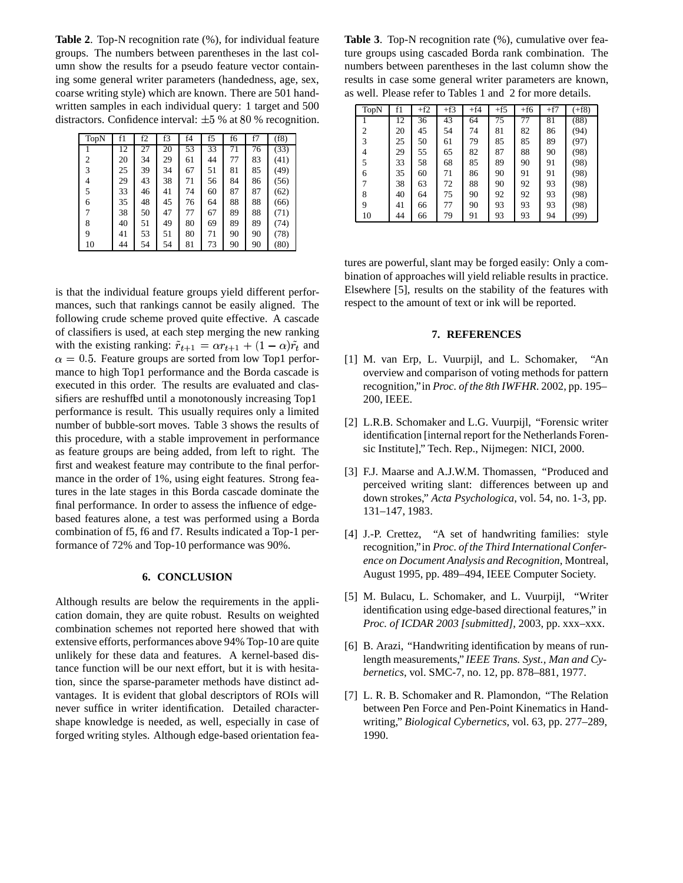**Table 2**. Top-N recognition rate (%), for individual feature groups. The numbers between parentheses in the last column show the results for a pseudo feature vector containing some general writer parameters (handedness, age, sex, coarse writing style) which are known. There are 501 handwritten samples in each individual query: 1 target and 500 distractors. Confidence interval:  $\pm 5$  % at 80 % recognition.

| TopN | f1 | f2 | f3 | f4 | f5 | f6 | f7 | (f8) |
|------|----|----|----|----|----|----|----|------|
|      | 12 | 27 | 20 | 53 | 33 | 71 | 76 | (33) |
| 2    | 20 | 34 | 29 | 61 | 44 | 77 | 83 | (41) |
| 3    | 25 | 39 | 34 | 67 | 51 | 81 | 85 | (49) |
| 4    | 29 | 43 | 38 | 71 | 56 | 84 | 86 | (56) |
| 5    | 33 | 46 | 41 | 74 | 60 | 87 | 87 | (62) |
| 6    | 35 | 48 | 45 | 76 | 64 | 88 | 88 | (66) |
|      | 38 | 50 | 47 | 77 | 67 | 89 | 88 | (71) |
| 8    | 40 | 51 | 49 | 80 | 69 | 89 | 89 | (74) |
| 9    | 41 | 53 | 51 | 80 | 71 | 90 | 90 | (78) |
| 10   | 44 | 54 | 54 | 81 | 73 | 90 | 90 | (80) |

is that the individual feature groups yield different performances, such that rankings cannot be easily aligned. The following crude scheme proved quite effective. A cascade of classifiers is used, at each step merging the new ranking with the existing ranking:  $\tilde{r}_{t+1} = \alpha r_{t+1} + (1 - \alpha)\tilde{r}_t$  and  $\alpha = 0.5$ . Feature groups are sorted from low Top1 performance to high Top1 performance and the Borda cascade is executed in this order. The results are evaluated and classifiers are reshuffed until a monotonously increasing Top1 performance is result. This usually requires only a limited number of bubble-sort moves. Table 3 shows the results of this procedure, with a stable improvement in performance as feature groups are being added, from left to right. The first and weakest feature may contribute to the final performance in the order of 1%, using eight features. Strong features in the late stages in this Borda cascade dominate the final performance. In order to assess the influence of edgebased features alone, a test was performed using a Borda combination of f5, f6 and f7. Results indicated a Top-1 performance of 72% and Top-10 performance was 90%.

## **6. CONCLUSION**

Although results are below the requirements in the application domain, they are quite robust. Results on weighted combination schemes not reported here showed that with extensive efforts, performances above 94% Top-10 are quite unlikely for these data and features. A kernel-based distance function will be our next effort, but it is with hesitation, since the sparse-parameter methods have distinct advantages. It is evident that global descriptors of ROIs will never suffice in writer identification. Detailed charactershape knowledge is needed, as well, especially in case of forged writing styles. Although edge-based orientation fea-

**Table 3**. Top-N recognition rate (%), cumulative over feature groups using cascaded Borda rank combination. The numbers between parentheses in the last column show the results in case some general writer parameters are known, as well. Please refer to Tables 1 and 2 for more details.

| TopN           | f1 | $+f2$ | $+f3$ | $+f4$ | $+f5$ | $+f6$ | $+f7$ | $(+f8)$ |
|----------------|----|-------|-------|-------|-------|-------|-------|---------|
|                | 12 | 36    | 43    | 64    | 75    | 77    | 81    | (88)    |
| $\overline{c}$ | 20 | 45    | 54    | 74    | 81    | 82    | 86    | (94)    |
| 3              | 25 | 50    | 61    | 79    | 85    | 85    | 89    | (97)    |
| 4              | 29 | 55    | 65    | 82    | 87    | 88    | 90    | (98)    |
| 5              | 33 | 58    | 68    | 85    | 89    | 90    | 91    | (98)    |
| 6              | 35 | 60    | 71    | 86    | 90    | 91    | 91    | (98)    |
|                | 38 | 63    | 72    | 88    | 90    | 92    | 93    | (98)    |
| 8              | 40 | 64    | 75    | 90    | 92    | 92    | 93    | (98)    |
| 9              | 41 | 66    | 77    | 90    | 93    | 93    | 93    | (98)    |
| 10             | 44 | 66    | 79    | 91    | 93    | 93    | 94    | (99)    |

tures are powerful, slant may be forged easily: Only a combination of approaches will yield reliable results in practice. Elsewhere [5], results on the stability of the features with respect to the amount of text or ink will be reported.

#### **7. REFERENCES**

- [1] M. van Erp, L. Vuurpijl, and L. Schomaker, "An overview and comparison of voting methods for pattern recognition," in *Proc. of the 8th IWFHR*. 2002, pp. 195– 200, IEEE.
- [2] L.R.B. Schomaker and L.G. Vuurpijl, "Forensic writer identification [internal report for the Netherlands Forensic Institute]," Tech. Rep., Nijmegen: NICI, 2000.
- [3] F.J. Maarse and A.J.W.M. Thomassen, "Produced and perceived writing slant: differences between up and down strokes," *Acta Psychologica*, vol. 54, no. 1-3, pp. 131–147, 1983.
- [4] J.-P. Crettez, "A set of handwriting families: style recognition," in *Proc. of the Third InternationalConference on Document Analysis and Recognition*, Montreal, August 1995, pp. 489–494, IEEE Computer Society.
- [5] M. Bulacu, L. Schomaker, and L. Vuurpijl, "Writer identification using edge-based directional features," in *Proc. of ICDAR 2003 [submitted]*, 2003, pp. xxx–xxx.
- [6] B. Arazi, "Handwriting identification by means of runlength measurements," *IEEE Trans. Syst., Man and Cybernetics*, vol. SMC-7, no. 12, pp. 878–881, 1977.
- [7] L. R. B. Schomaker and R. Plamondon, "The Relation between Pen Force and Pen-Point Kinematics in Handwriting," *Biological Cybernetics*, vol. 63, pp. 277–289, 1990.